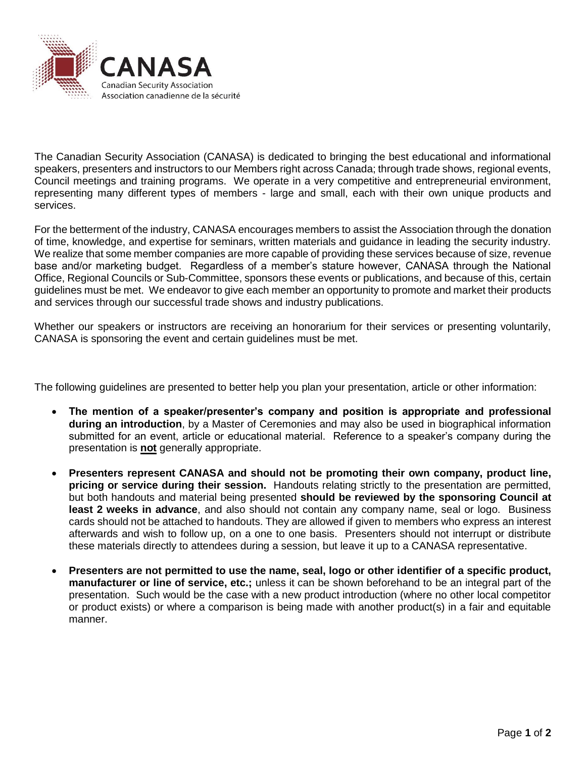

The Canadian Security Association (CANASA) is dedicated to bringing the best educational and informational speakers, presenters and instructors to our Members right across Canada; through trade shows, regional events, Council meetings and training programs. We operate in a very competitive and entrepreneurial environment, representing many different types of members - large and small, each with their own unique products and services.

For the betterment of the industry, CANASA encourages members to assist the Association through the donation of time, knowledge, and expertise for seminars, written materials and guidance in leading the security industry. We realize that some member companies are more capable of providing these services because of size, revenue base and/or marketing budget. Regardless of a member's stature however, CANASA through the National Office, Regional Councils or Sub-Committee, sponsors these events or publications, and because of this, certain guidelines must be met. We endeavor to give each member an opportunity to promote and market their products and services through our successful trade shows and industry publications.

Whether our speakers or instructors are receiving an honorarium for their services or presenting voluntarily, CANASA is sponsoring the event and certain guidelines must be met.

The following guidelines are presented to better help you plan your presentation, article or other information:

- **The mention of a speaker/presenter's company and position is appropriate and professional during an introduction**, by a Master of Ceremonies and may also be used in biographical information submitted for an event, article or educational material. Reference to a speaker's company during the presentation is **not** generally appropriate.
- **Presenters represent CANASA and should not be promoting their own company, product line, pricing or service during their session.** Handouts relating strictly to the presentation are permitted, but both handouts and material being presented **should be reviewed by the sponsoring Council at least 2 weeks in advance**, and also should not contain any company name, seal or logo. Business cards should not be attached to handouts. They are allowed if given to members who express an interest afterwards and wish to follow up, on a one to one basis. Presenters should not interrupt or distribute these materials directly to attendees during a session, but leave it up to a CANASA representative.
- **Presenters are not permitted to use the name, seal, logo or other identifier of a specific product, manufacturer or line of service, etc.;** unless it can be shown beforehand to be an integral part of the presentation. Such would be the case with a new product introduction (where no other local competitor or product exists) or where a comparison is being made with another product(s) in a fair and equitable manner.